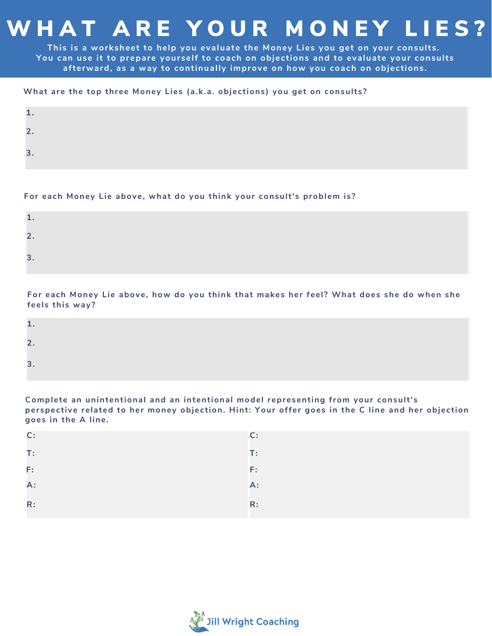## W HAT ARE YOUR MONEY LIES?

**This is a worksheet to help you evaluate the Money Lies you get on your consults. You can use it to prepare yourself to coach on objections and to evaluate your consults afterward, as a way to continually improve on how you coach on objections.**

#### **What are the top three Money Lies (a.k.a. objections) you get on consults?**

## **For each Money Lie above, what do you think your consult's problem is?**

| --                |  |  |
|-------------------|--|--|
| ∽<br>$\leftarrow$ |  |  |
| З.                |  |  |

## For each Money Lie above, how do you think that makes her feel? What does she do when she **feels this way?**

| -                     |  |  |
|-----------------------|--|--|
| $\tilde{\phantom{a}}$ |  |  |

**Complete an unintentional and an intentional model representing from your consult's perspective related to her money objection. Hint: Your offer goes in the C line and her objection goes in the A line.**

| C:                  | C:             |
|---------------------|----------------|
| $\mathsf{T}$ :      | $\mathsf{T}$ : |
| $\mathsf{F} \colon$ | F:             |
| A:                  | $A$ :          |
| R:                  | R:             |